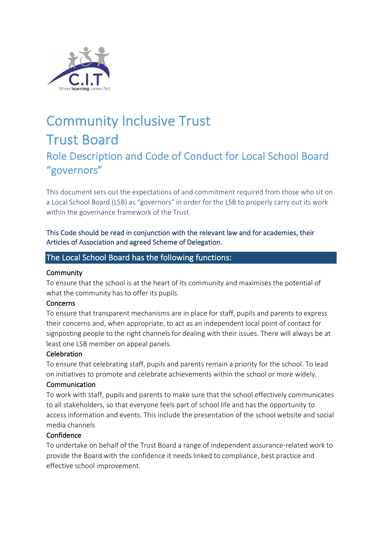

# Community Inclusive Trust Trust Board Role Description and Code of Conduct for Local School Board "governors"

This document sets out the expectations of and commitment required from those who sit on a Local School Board (LSB) as "governors" in order for the LSB to properly carry out its work within the governance framework of the Trust.

This Code should be read in conjunction with the relevant law and for academies, their Articles of Association and agreed Scheme of Delegation.

## The Local School Board has the following functions:

### **Community**

To ensure that the school is at the heart of its community and maximises the potential of what the community has to offer its pupils.

### **Concerns**

To ensure that transparent mechanisms are in place for staff, pupils and parents to express their concerns and, when appropriate, to act as an independent local point of contact for signposting people to the right channels for dealing with their issues. There will always be at least one LSB member on appeal panels.

### **Celebration**

To ensure that celebrating staff, pupils and parents remain a priority for the school. To lead on initiatives to promote and celebrate achievements within the school or more widely.

#### **Communication**

To work with staff, pupils and parents to make sure that the school effectively communicates to all stakeholders, so that everyone feels part of school life and has the opportunity to access information and events. This include the presentation of the school website and social media channels

### Confidence

To undertake on behalf of the Trust Board a range of independent assurance-related work to provide the Board with the confidence it needs linked to compliance, best practice and effective school improvement.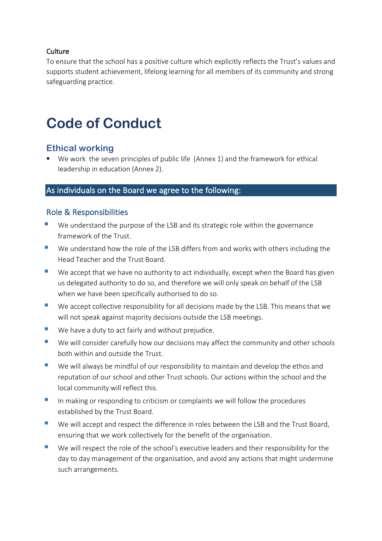### Culture

To ensure that the school has a positive culture which explicitly reflects the Trust's values and supports student achievement, lifelong learning for all members of its community and strong safeguarding practice.

# **Code of Conduct**

# **Ethical working**

■ We work the seven principles of public life (Annex 1) and the framework for ethical leadership in education (Annex 2).

# As individuals on the Board we agree to the following:

## Role & Responsibilities

- We understand the purpose of the LSB and its strategic role within the governance framework of the Trust.
- We understand how the role of the LSB differs from and works with others including the Head Teacher and the Trust Board.
- We accept that we have no authority to act individually, except when the Board has given us delegated authority to do so, and therefore we will only speak on behalf of the LSB when we have been specifically authorised to do so.
- We accept collective responsibility for all decisions made by the LSB. This means that we will not speak against majority decisions outside the LSB meetings.
- We have a duty to act fairly and without prejudice.
- We will consider carefully how our decisions may affect the community and other schools both within and outside the Trust.
- We will always be mindful of our responsibility to maintain and develop the ethos and reputation of our school and other Trust schools. Our actions within the school and the local community will reflect this.
- In making or responding to criticism or complaints we will follow the procedures established by the Trust Board.
- We will accept and respect the difference in roles between the LSB and the Trust Board, ensuring that we work collectively for the benefit of the organisation.
- We will respect the role of the school's executive leaders and their responsibility for the day to day management of the organisation, and avoid any actions that might undermine such arrangements.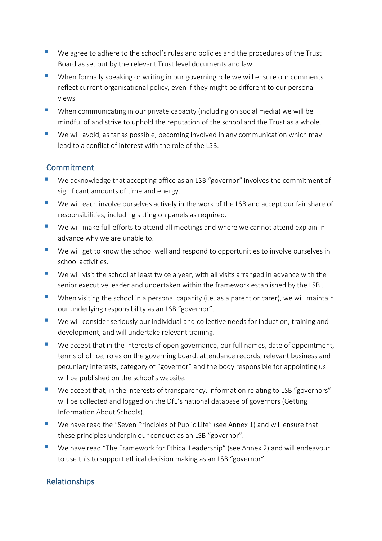- We agree to adhere to the school's rules and policies and the procedures of the Trust Board as set out by the relevant Trust level documents and law.
- When formally speaking or writing in our governing role we will ensure our comments reflect current organisational policy, even if they might be different to our personal views.
- When communicating in our private capacity (including on social media) we will be mindful of and strive to uphold the reputation of the school and the Trust as a whole.
- We will avoid, as far as possible, becoming involved in any communication which may lead to a conflict of interest with the role of the LSB.

# Commitment

- We acknowledge that accepting office as an LSB "governor" involves the commitment of significant amounts of time and energy.
- We will each involve ourselves actively in the work of the LSB and accept our fair share of responsibilities, including sitting on panels as required.
- We will make full efforts to attend all meetings and where we cannot attend explain in advance why we are unable to.
- We will get to know the school well and respond to opportunities to involve ourselves in school activities.
- We will visit the school at least twice a year, with all visits arranged in advance with the senior executive leader and undertaken within the framework established by the LSB .
- When visiting the school in a personal capacity (i.e. as a parent or carer), we will maintain our underlying responsibility as an LSB "governor".
- We will consider seriously our individual and collective needs for induction, training and development, and will undertake relevant training.
- We accept that in the interests of open governance, our full names, date of appointment, terms of office, roles on the governing board, attendance records, relevant business and pecuniary interests, category of "governor" and the body responsible for appointing us will be published on the school's website.
- We accept that, in the interests of transparency, information relating to LSB "governors" will be collected and logged on the DfE's national database of governors (Getting Information About Schools).
- We have read the "Seven Principles of Public Life" (see Annex 1) and will ensure that these principles underpin our conduct as an LSB "governor".
- We have read "The Framework for Ethical Leadership" (see Annex 2) and will endeavour to use this to support ethical decision making as an LSB "governor".

# Relationships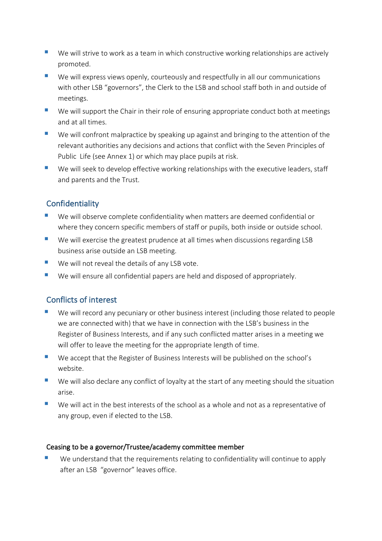- We will strive to work as a team in which constructive working relationships are actively promoted.
- We will express views openly, courteously and respectfully in all our communications with other LSB "governors", the Clerk to the LSB and school staff both in and outside of meetings.
- We will support the Chair in their role of ensuring appropriate conduct both at meetings and at all times.
- We will confront malpractice by speaking up against and bringing to the attention of the relevant authorities any decisions and actions that conflict with the Seven Principles of Public Life (see Annex 1) or which may place pupils at risk.
- We will seek to develop effective working relationships with the executive leaders, staff and parents and the Trust.

# **Confidentiality**

- We will observe complete confidentiality when matters are deemed confidential or where they concern specific members of staff or pupils, both inside or outside school.
- We will exercise the greatest prudence at all times when discussions regarding LSB business arise outside an LSB meeting.
- We will not reveal the details of any LSB vote.
- We will ensure all confidential papers are held and disposed of appropriately.

# Conflicts of interest

- We will record any pecuniary or other business interest (including those related to people we are connected with) that we have in connection with the LSB's business in the Register of Business Interests, and if any such conflicted matter arises in a meeting we will offer to leave the meeting for the appropriate length of time.
- We accept that the Register of Business Interests will be published on the school's website.
- We will also declare any conflict of loyalty at the start of any meeting should the situation arise.
- We will act in the best interests of the school as a whole and not as a representative of any group, even if elected to the LSB.

## Ceasing to be a governor/Trustee/academy committee member

We understand that the requirements relating to confidentiality will continue to apply after an LSB "governor" leaves office.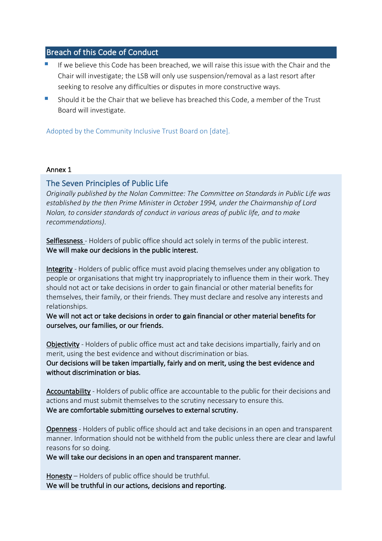# Breach of this Code of Conduct

- If we believe this Code has been breached, we will raise this issue with the Chair and the Chair will investigate; the LSB will only use suspension/removal as a last resort after seeking to resolve any difficulties or disputes in more constructive ways.
- § Should it be the Chair that we believe has breached this Code, a member of the Trust Board will investigate.

Adopted by the Community Inclusive Trust Board on [date].

#### Annex 1

## The Seven Principles of Public Life

*Originally published by the Nolan Committee: The Committee on Standards in Public Life was established by the then Prime Minister in October 1994, under the Chairmanship of Lord Nolan, to consider standards of conduct in various areas of public life, and to make recommendations)*.

Selflessness - Holders of public office should act solely in terms of the public interest. We will make our decisions in the public interest.

Integrity - Holders of public office must avoid placing themselves under any obligation to people or organisations that might try inappropriately to influence them in their work. They should not act or take decisions in order to gain financial or other material benefits for themselves, their family, or their friends. They must declare and resolve any interests and relationships.

We will not act or take decisions in order to gain financial or other material benefits for ourselves, our families, or our friends.

Objectivity - Holders of public office must act and take decisions impartially, fairly and on merit, using the best evidence and without discrimination or bias. Our decisions will be taken impartially, fairly and on merit, using the best evidence and without discrimination or bias.

Accountability - Holders of public office are accountable to the public for their decisions and actions and must submit themselves to the scrutiny necessary to ensure this. We are comfortable submitting ourselves to external scrutiny.

Openness - Holders of public office should act and take decisions in an open and transparent manner. Information should not be withheld from the public unless there are clear and lawful reasons for so doing.

We will take our decisions in an open and transparent manner.

Honesty – Holders of public office should be truthful. We will be truthful in our actions, decisions and reporting.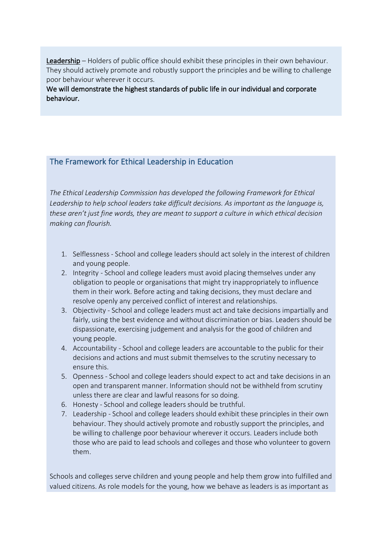Leadership – Holders of public office should exhibit these principles in their own behaviour. They should actively promote and robustly support the principles and be willing to challenge poor behaviour wherever it occurs.

We will demonstrate the highest standards of public life in our individual and corporate behaviour.

# The Framework for Ethical Leadership in Education

*The Ethical Leadership Commission has developed the following Framework for Ethical Leadership to help school leaders take difficult decisions. As important as the language is, these aren't just fine words, they are meant to support a culture in which ethical decision making can flourish.* 

- 1. Selflessness School and college leaders should act solely in the interest of children and young people.
- 2. Integrity School and college leaders must avoid placing themselves under any obligation to people or organisations that might try inappropriately to influence them in their work. Before acting and taking decisions, they must declare and resolve openly any perceived conflict of interest and relationships.
- 3. Objectivity School and college leaders must act and take decisions impartially and fairly, using the best evidence and without discrimination or bias. Leaders should be dispassionate, exercising judgement and analysis for the good of children and young people.
- 4. Accountability School and college leaders are accountable to the public for their decisions and actions and must submit themselves to the scrutiny necessary to ensure this.
- 5. Openness School and college leaders should expect to act and take decisions in an open and transparent manner. Information should not be withheld from scrutiny unless there are clear and lawful reasons for so doing.
- 6. Honesty School and college leaders should be truthful.
- 7. Leadership School and college leaders should exhibit these principles in their own behaviour. They should actively promote and robustly support the principles, and be willing to challenge poor behaviour wherever it occurs. Leaders include both those who are paid to lead schools and colleges and those who volunteer to govern them.

Schools and colleges serve children and young people and help them grow into fulfilled and valued citizens. As role models for the young, how we behave as leaders is as important as